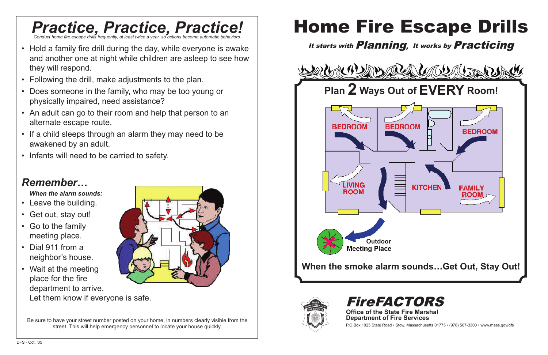

P.O.Box 1025 State Road • Stow, Massachusetts 01775 • (978) 567-3300 • www.mass.gov/dfs



## *Practice, Practice, Practice! Conduct home fire escape drills frequently, at least twice a year, so actions become automatic behaviors.*

- Hold a family fire drill during the day, while everyone is awake and another one at night while children are asleep to see how they will respond.
- Following the drill, make adjustments to the plan.
- Does someone in the family, who may be too young or physically impaired, need assistance?
- An adult can go to their room and help that person to an alternate escape route.
- If a child sleeps through an alarm they may need to be awakened by an adult.
- Infants will need to be carried to safety.





# *Remember…*

*When the alarm sounds:*

- Leave the building.
- Get out, stay out!
- Go to the family meeting place.
- Dial 911 from a neighbor's house.
- Wait at the meeting place for the fire department to arrive. Let them know if everyone is safe.

Be sure to have your street number posted on your home, in numbers clearly visible from the street. This will help emergency personnel to locate your house quickly.